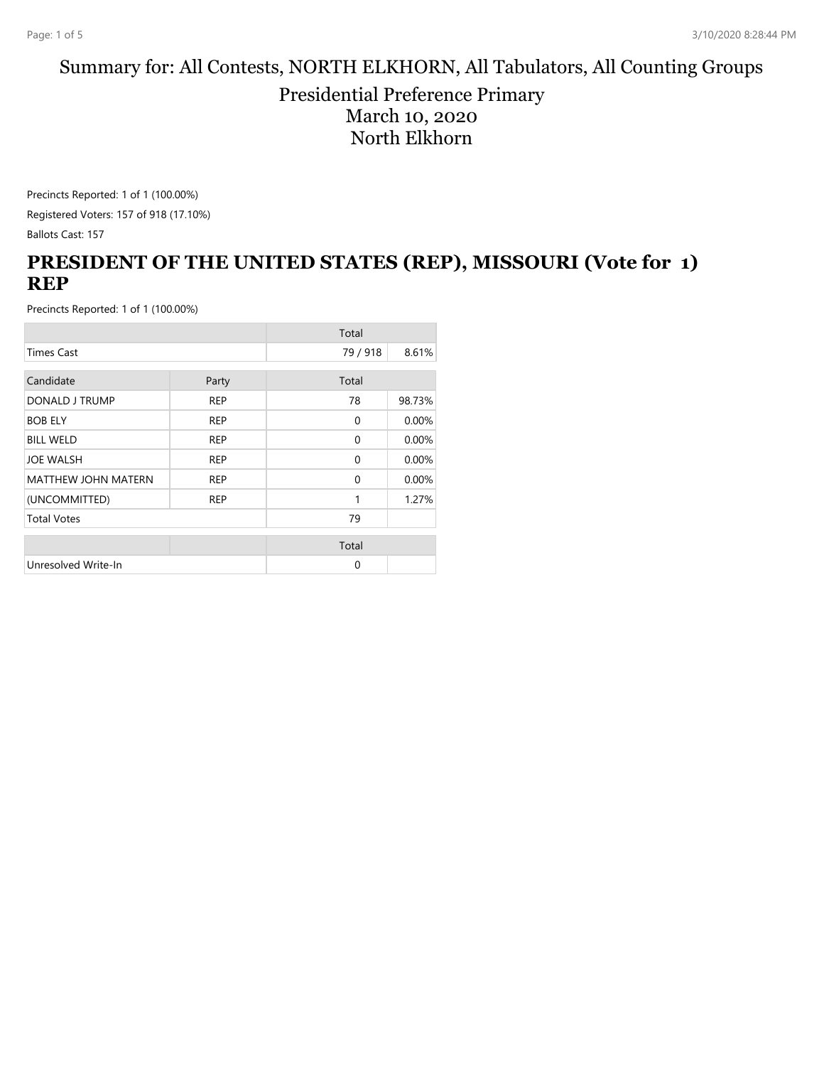#### Summary for: All Contests, NORTH ELKHORN, All Tabulators, All Counting Groups

#### Presidential Preference Primary March 10, 2020 North Elkhorn

Precincts Reported: 1 of 1 (100.00%) Registered Voters: 157 of 918 (17.10%)

Ballots Cast: 157

#### **PRESIDENT OF THE UNITED STATES (REP), MISSOURI (Vote for 1) REP**

|                            |            | Total        |        |
|----------------------------|------------|--------------|--------|
| <b>Times Cast</b>          |            | 79 / 918     | 8.61%  |
| Candidate                  | Party      | Total        |        |
| DONALD J TRUMP             | <b>REP</b> | 78           | 98.73% |
| <b>BOB ELY</b>             | <b>REP</b> | $\mathbf{0}$ | 0.00%  |
| <b>BILL WELD</b>           | <b>REP</b> | $\mathbf{0}$ | 0.00%  |
| <b>JOE WALSH</b>           | <b>REP</b> | $\mathbf{0}$ | 0.00%  |
| <b>MATTHEW JOHN MATERN</b> | <b>REP</b> | $\mathbf{0}$ | 0.00%  |
| (UNCOMMITTED)              | <b>REP</b> | 1            | 1.27%  |
| <b>Total Votes</b>         |            | 79           |        |
|                            |            | Total        |        |
| Unresolved Write-In        |            | $\Omega$     |        |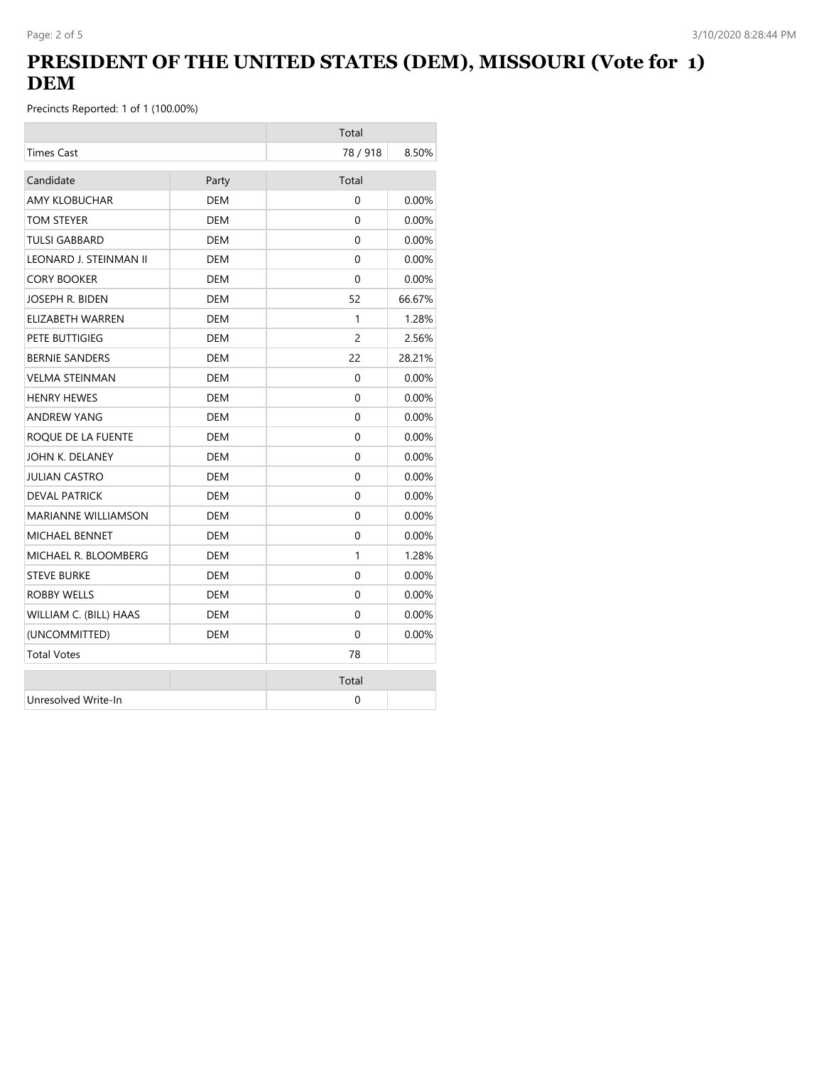## **PRESIDENT OF THE UNITED STATES (DEM), MISSOURI (Vote for 1) DEM**

|                            |            | Total    |          |
|----------------------------|------------|----------|----------|
| <b>Times Cast</b>          |            | 78/918   | 8.50%    |
| Candidate                  | Party      | Total    |          |
| <b>AMY KLOBUCHAR</b>       | <b>DEM</b> | $\Omega$ | 0.00%    |
| TOM STEYER                 | <b>DEM</b> | $\Omega$ | 0.00%    |
| <b>TULSI GABBARD</b>       | <b>DEM</b> | $\Omega$ | 0.00%    |
| LEONARD J. STEINMAN II     | DEM        | $\Omega$ | $0.00\%$ |
| <b>CORY BOOKER</b>         | <b>DEM</b> | $\Omega$ | 0.00%    |
| JOSEPH R. BIDEN            | <b>DEM</b> | 52       | 66.67%   |
| ELIZABETH WARREN           | DEM        | 1        | 1.28%    |
| PETE BUTTIGIEG             | <b>DEM</b> | 2        | 2.56%    |
| <b>BERNIE SANDERS</b>      | DEM        | 22       | 28.21%   |
| <b>VELMA STEINMAN</b>      | <b>DEM</b> | 0        | 0.00%    |
| <b>HENRY HEWES</b>         | DEM        | $\Omega$ | $0.00\%$ |
| <b>ANDREW YANG</b>         | DEM        | 0        | 0.00%    |
| ROQUE DE LA FUENTE         | DEM        | 0        | $0.00\%$ |
| JOHN K. DELANEY            | <b>DEM</b> | 0        | 0.00%    |
| <b>JULIAN CASTRO</b>       | <b>DEM</b> | $\Omega$ | $0.00\%$ |
| <b>DEVAL PATRICK</b>       | <b>DEM</b> | $\Omega$ | 0.00%    |
| <b>MARIANNE WILLIAMSON</b> | <b>DEM</b> | $\Omega$ | 0.00%    |
| <b>MICHAEL BENNET</b>      | DEM        | $\Omega$ | $0.00\%$ |
| MICHAEL R. BLOOMBERG       | DEM        | 1        | 1.28%    |
| <b>STEVE BURKE</b>         | DEM        | $\Omega$ | $0.00\%$ |
| <b>ROBBY WELLS</b>         | <b>DEM</b> | 0        | 0.00%    |
| WILLIAM C. (BILL) HAAS     | <b>DEM</b> | $\Omega$ | $0.00\%$ |
| (UNCOMMITTED)              | <b>DEM</b> | $\Omega$ | 0.00%    |
| <b>Total Votes</b>         |            | 78       |          |
|                            |            | Total    |          |
| Unresolved Write-In        |            | 0        |          |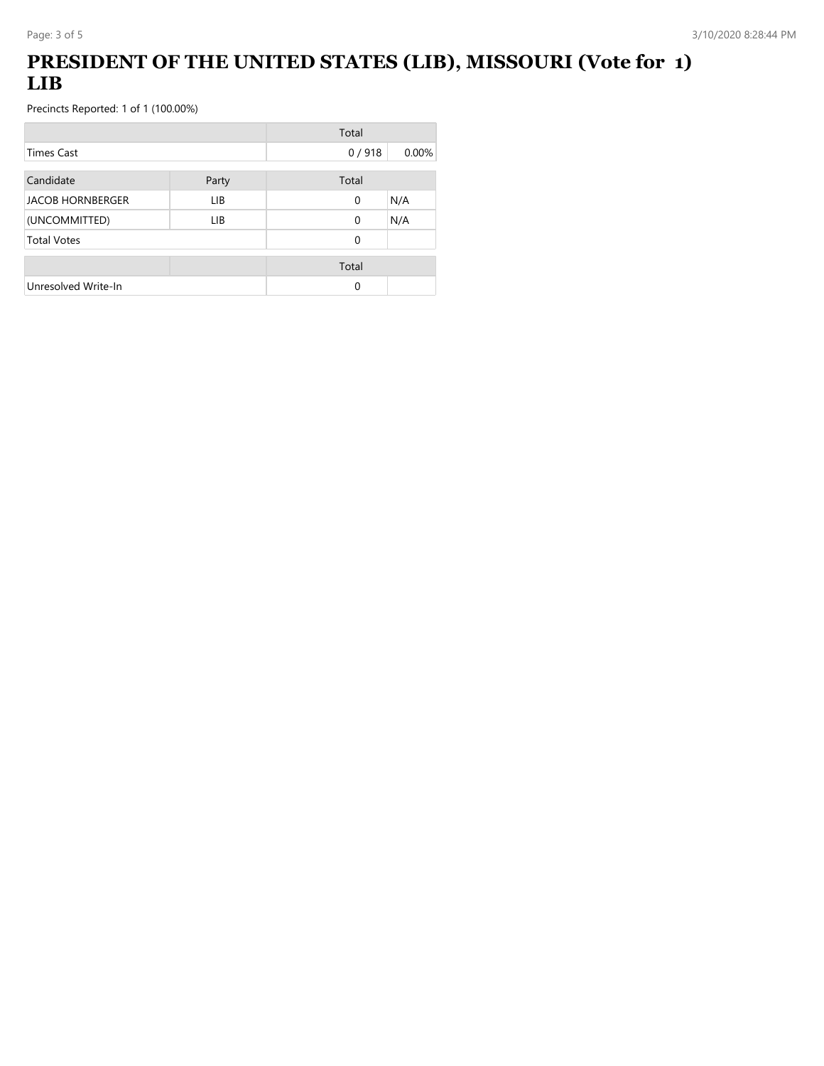# **PRESIDENT OF THE UNITED STATES (LIB), MISSOURI (Vote for 1) LIB**

|                         |       | Total    |       |
|-------------------------|-------|----------|-------|
| <b>Times Cast</b>       |       | 0/918    | 0.00% |
| Candidate               | Party | Total    |       |
| <b>JACOB HORNBERGER</b> | LIB.  | 0        | N/A   |
| (UNCOMMITTED)           | LIB   | $\Omega$ | N/A   |
| <b>Total Votes</b>      |       | 0        |       |
|                         |       | Total    |       |
| Unresolved Write-In     |       | 0        |       |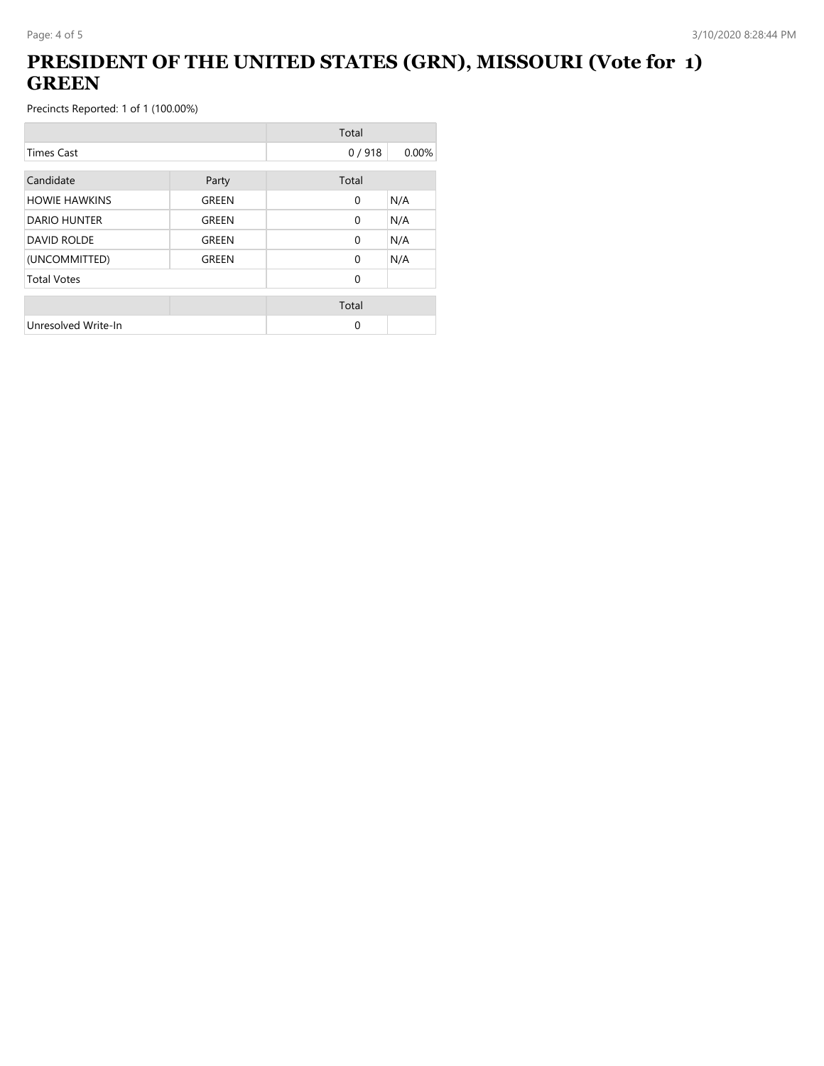### **PRESIDENT OF THE UNITED STATES (GRN), MISSOURI (Vote for 1) GREEN**

|                      |       | Total        |       |
|----------------------|-------|--------------|-------|
| <b>Times Cast</b>    |       | 0/918        | 0.00% |
| Candidate            | Party | Total        |       |
| <b>HOWIE HAWKINS</b> | GREEN | $\mathbf{0}$ | N/A   |
| <b>DARIO HUNTER</b>  | GREEN | $\mathbf{0}$ | N/A   |
| <b>DAVID ROLDE</b>   | GREEN | $\mathbf{0}$ | N/A   |
| (UNCOMMITTED)        | GREEN | $\Omega$     | N/A   |
| <b>Total Votes</b>   |       | $\Omega$     |       |
|                      |       | Total        |       |
| Unresolved Write-In  |       | 0            |       |